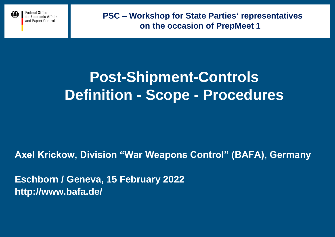

# **Post-Shipment-Controls Definition - Scope - Procedures**

**Axel Krickow, Division "War Weapons Control" (BAFA), Germany**

**Eschborn / Geneva, 15 February 2022 http://www.bafa.de/**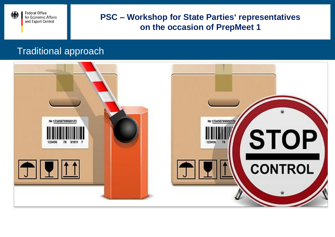

# Traditional approach

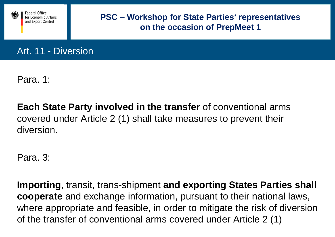

Art. 11 - Diversion

Para. 1:

**Each State Party involved in the transfer** of conventional arms covered under Article 2 (1) shall take measures to prevent their diversion.

Para. 3:

**Importing**, transit, trans-shipment **and exporting States Parties shall cooperate** and exchange information, pursuant to their national laws, where appropriate and feasible, in order to mitigate the risk of diversion of the transfer of conventional arms covered under Article 2 (1)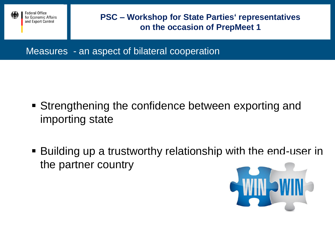

Measures - an aspect of bilateral cooperation

- Strengthening the confidence between exporting and importing state
- Building up a trustworthy relationship with the end-user in the partner country

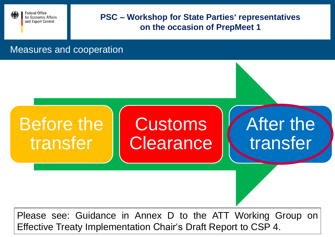

#### Measures and cooperation



Effective Treaty Implementation Chair's Draft Report to CSP 4.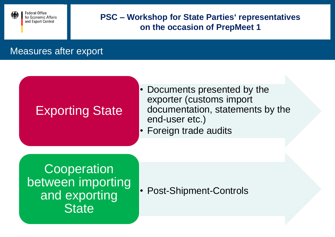

# Measures after export

# Exporting State

- Documents presented by the exporter (customs import documentation, statements by the end-user etc.)
- Foreign trade audits

**Cooperation** between importing and exporting **State** 

• Post-Shipment-Controls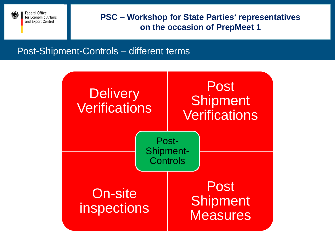

# Post-Shipment-Controls – different terms

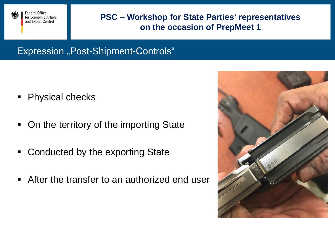

Expression "Post-Shipment-Controls"

- Physical checks
- On the territory of the importing State
- **Conducted by the exporting State**
- After the transfer to an authorized end user

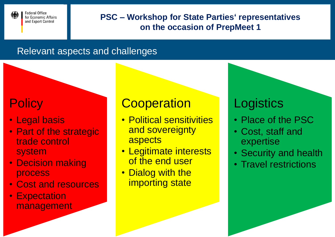

# Relevant aspects and challenges

# **Policy**

- Legal basis
- Part of the strategic trade control system
- Decision making process
- Cost and resources
- Expectation management

# **Cooperation**

- Political sensitivities and sovereignty aspects
- Legitimate interests of the end user
- Dialog with the importing state

# **Logistics**

- Place of the PSC
- Cost, staff and expertise
- Security and health
- Travel restrictions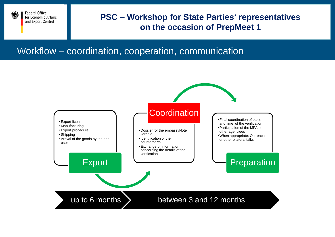

# Workflow – coordination, cooperation, communication

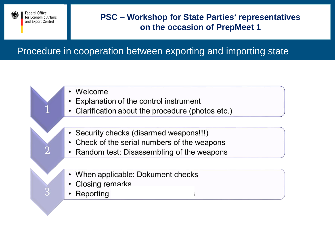

# Procedure in cooperation between exporting and importing state